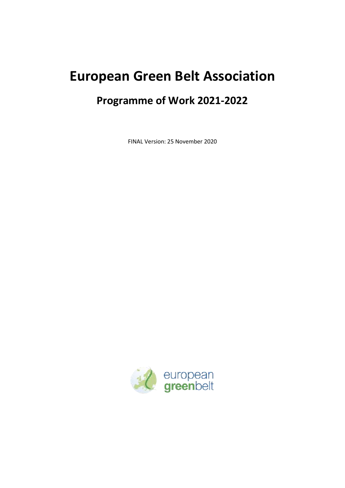# **European Green Belt Association**

## **Programme of Work 2021-2022**

FINAL Version: 25 November 2020

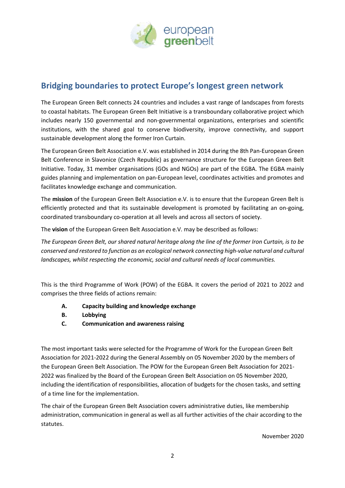

## **Bridging boundaries to protect Europe's longest green network**

The European Green Belt connects 24 countries and includes a vast range of landscapes from forests to coastal habitats. The European Green Belt Initiative is a transboundary collaborative project which includes nearly 150 governmental and non-governmental organizations, enterprises and scientific institutions, with the shared goal to conserve biodiversity, improve connectivity, and support sustainable development along the former Iron Curtain.

The European Green Belt Association e.V. was established in 2014 during the 8th Pan-European Green Belt Conference in Slavonice (Czech Republic) as governance structure for the European Green Belt Initiative. Today, 31 member organisations (GOs and NGOs) are part of the EGBA. The EGBA mainly guides planning and implementation on pan-European level, coordinates activities and promotes and facilitates knowledge exchange and communication.

The **mission** of the European Green Belt Association e.V. is to ensure that the European Green Belt is efficiently protected and that its sustainable development is promoted by facilitating an on-going, coordinated transboundary co-operation at all levels and across all sectors of society.

The **vision** of the European Green Belt Association e.V. may be described as follows:

*The European Green Belt, our shared natural heritage along the line of the former Iron Curtain, is to be conserved and restored to function as an ecological network connecting high-value natural and cultural landscapes, whilst respecting the economic, social and cultural needs of local communities.* 

This is the third Programme of Work (POW) of the EGBA. It covers the period of 2021 to 2022 and comprises the three fields of actions remain:

- **A. Capacity building and knowledge exchange**
- **B. Lobbying**
- **C. Communication and awareness raising**

The most important tasks were selected for the Programme of Work for the European Green Belt Association for 2021-2022 during the General Assembly on 05 November 2020 by the members of the European Green Belt Association. The POW for the European Green Belt Association for 2021- 2022 was finalized by the Board of the European Green Belt Association on 05 November 2020, including the identification of responsibilities, allocation of budgets for the chosen tasks, and setting of a time line for the implementation.

The chair of the European Green Belt Association covers administrative duties, like membership administration, communication in general as well as all further activities of the chair according to the statutes.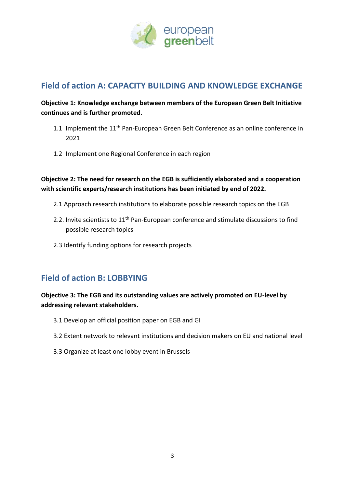

#### **Field of action A: CAPACITY BUILDING AND KNOWLEDGE EXCHANGE**

#### **Objective 1: Knowledge exchange between members of the European Green Belt Initiative continues and is further promoted.**

- 1.1 Implement the  $11<sup>th</sup>$  Pan-European Green Belt Conference as an online conference in 2021
- 1.2 Implement one Regional Conference in each region

**Objective 2: The need for research on the EGB is sufficiently elaborated and a cooperation with scientific experts/research institutions has been initiated by end of 2022.**

- 2.1 Approach research institutions to elaborate possible research topics on the EGB
- 2.2. Invite scientists to 11<sup>th</sup> Pan-European conference and stimulate discussions to find possible research topics
- 2.3 Identify funding options for research projects

### **Field of action B: LOBBYING**

#### **Objective 3: The EGB and its outstanding values are actively promoted on EU-level by addressing relevant stakeholders.**

- 3.1 Develop an official position paper on EGB and GI
- 3.2 Extent network to relevant institutions and decision makers on EU and national level
- 3.3 Organize at least one lobby event in Brussels